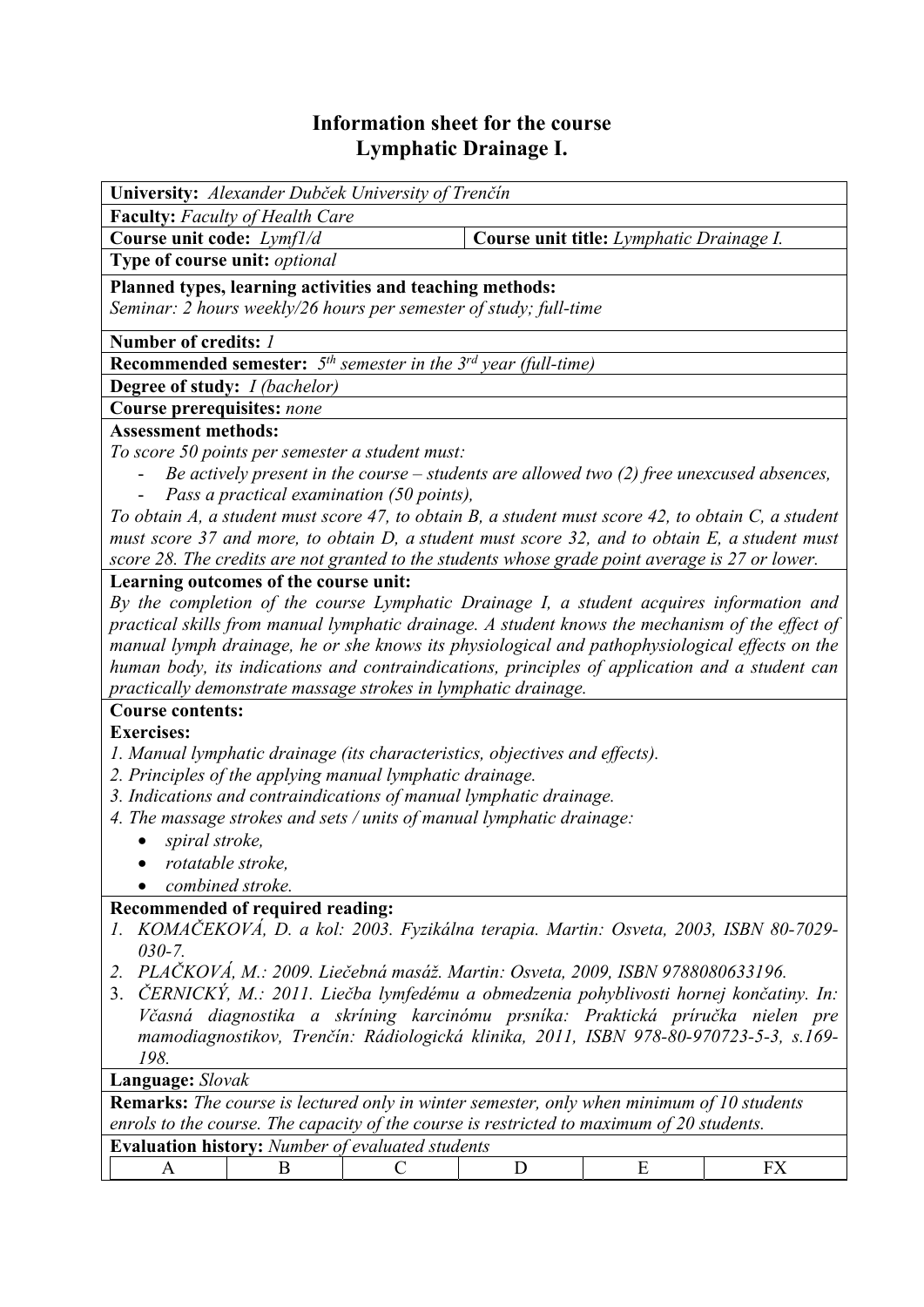## **Information sheet for the course Lymphatic Drainage I.**

| <b>Faculty:</b> Faculty of Health Care<br>Course unit code: Lymf1/d<br>Course unit title: Lymphatic Drainage I.<br>Type of course unit: optional<br>Planned types, learning activities and teaching methods:<br>Seminar: 2 hours weekly/26 hours per semester of study; full-time<br>Number of credits: 1<br><b>Recommended semester:</b> $5th$ semester in the $3rd$ year (full-time)<br><b>Degree of study:</b> <i>I (bachelor)</i><br>Course prerequisites: none<br><b>Assessment methods:</b><br>To score 50 points per semester a student must:<br>Be actively present in the course $-$ students are allowed two (2) free unexcused absences,<br>Pass a practical examination (50 points),<br>To obtain A, a student must score 47, to obtain B, a student must score 42, to obtain C, a student<br>must score 37 and more, to obtain D, a student must score 32, and to obtain E, a student must<br>score 28. The credits are not granted to the students whose grade point average is 27 or lower.<br>Learning outcomes of the course unit:<br>By the completion of the course Lymphatic Drainage I, a student acquires information and<br>practical skills from manual lymphatic drainage. A student knows the mechanism of the effect of<br>manual lymph drainage, he or she knows its physiological and pathophysiological effects on the<br>human body, its indications and contraindications, principles of application and a student can<br>practically demonstrate massage strokes in lymphatic drainage.<br><b>Course contents:</b><br><b>Exercises:</b><br>1. Manual lymphatic drainage (its characteristics, objectives and effects).<br>2. Principles of the applying manual lymphatic drainage.<br>3. Indications and contraindications of manual lymphatic drainage.<br>4. The massage strokes and sets / units of manual lymphatic drainage:<br>spiral stroke,<br>rotatable stroke<br>combined stroke.<br>Recommended of required reading:<br>KOMAČEKOVÁ, D. a kol: 2003. Fyzikálna terapia. Martin: Osveta, 2003, ISBN 80-7029-<br>$030 - 7.$<br>PLAČKOVÁ, M.: 2009. Liečebná masáž. Martin: Osveta, 2009, ISBN 9788080633196.<br>2.<br>ČERNICKÝ, M.: 2011. Liečba lymfedému a obmedzenia pohyblivosti hornej končatiny. In:<br>3.<br>Včasná diagnostika a skríning karcinómu prsníka: Praktická príručka nielen pre<br>mamodiagnostikov, Trenčín: Rádiologická klinika, 2011, ISBN 978-80-970723-5-3, s.169-<br>198.<br>Language: Slovak<br><b>Remarks:</b> The course is lectured only in winter semester, only when minimum of 10 students<br>enrols to the course. The capacity of the course is restricted to maximum of 20 students.<br>Evaluation history: Number of evaluated students<br>E<br><b>FX</b><br>D<br>B<br>A<br>C | University: Alexander Dubček University of Trenčín |  |  |  |  |  |  |  |
|-------------------------------------------------------------------------------------------------------------------------------------------------------------------------------------------------------------------------------------------------------------------------------------------------------------------------------------------------------------------------------------------------------------------------------------------------------------------------------------------------------------------------------------------------------------------------------------------------------------------------------------------------------------------------------------------------------------------------------------------------------------------------------------------------------------------------------------------------------------------------------------------------------------------------------------------------------------------------------------------------------------------------------------------------------------------------------------------------------------------------------------------------------------------------------------------------------------------------------------------------------------------------------------------------------------------------------------------------------------------------------------------------------------------------------------------------------------------------------------------------------------------------------------------------------------------------------------------------------------------------------------------------------------------------------------------------------------------------------------------------------------------------------------------------------------------------------------------------------------------------------------------------------------------------------------------------------------------------------------------------------------------------------------------------------------------------------------------------------------------------------------------------------------------------------------------------------------------------------------------------------------------------------------------------------------------------------------------------------------------------------------------------------------------------------------------------------------------------------------------------------------------------------------------------------------------------------------------------------------------------------------------------------------------------------------------------------------------------------------------------------------|----------------------------------------------------|--|--|--|--|--|--|--|
|                                                                                                                                                                                                                                                                                                                                                                                                                                                                                                                                                                                                                                                                                                                                                                                                                                                                                                                                                                                                                                                                                                                                                                                                                                                                                                                                                                                                                                                                                                                                                                                                                                                                                                                                                                                                                                                                                                                                                                                                                                                                                                                                                                                                                                                                                                                                                                                                                                                                                                                                                                                                                                                                                                                                                             |                                                    |  |  |  |  |  |  |  |
|                                                                                                                                                                                                                                                                                                                                                                                                                                                                                                                                                                                                                                                                                                                                                                                                                                                                                                                                                                                                                                                                                                                                                                                                                                                                                                                                                                                                                                                                                                                                                                                                                                                                                                                                                                                                                                                                                                                                                                                                                                                                                                                                                                                                                                                                                                                                                                                                                                                                                                                                                                                                                                                                                                                                                             |                                                    |  |  |  |  |  |  |  |
|                                                                                                                                                                                                                                                                                                                                                                                                                                                                                                                                                                                                                                                                                                                                                                                                                                                                                                                                                                                                                                                                                                                                                                                                                                                                                                                                                                                                                                                                                                                                                                                                                                                                                                                                                                                                                                                                                                                                                                                                                                                                                                                                                                                                                                                                                                                                                                                                                                                                                                                                                                                                                                                                                                                                                             |                                                    |  |  |  |  |  |  |  |
|                                                                                                                                                                                                                                                                                                                                                                                                                                                                                                                                                                                                                                                                                                                                                                                                                                                                                                                                                                                                                                                                                                                                                                                                                                                                                                                                                                                                                                                                                                                                                                                                                                                                                                                                                                                                                                                                                                                                                                                                                                                                                                                                                                                                                                                                                                                                                                                                                                                                                                                                                                                                                                                                                                                                                             |                                                    |  |  |  |  |  |  |  |
|                                                                                                                                                                                                                                                                                                                                                                                                                                                                                                                                                                                                                                                                                                                                                                                                                                                                                                                                                                                                                                                                                                                                                                                                                                                                                                                                                                                                                                                                                                                                                                                                                                                                                                                                                                                                                                                                                                                                                                                                                                                                                                                                                                                                                                                                                                                                                                                                                                                                                                                                                                                                                                                                                                                                                             |                                                    |  |  |  |  |  |  |  |
|                                                                                                                                                                                                                                                                                                                                                                                                                                                                                                                                                                                                                                                                                                                                                                                                                                                                                                                                                                                                                                                                                                                                                                                                                                                                                                                                                                                                                                                                                                                                                                                                                                                                                                                                                                                                                                                                                                                                                                                                                                                                                                                                                                                                                                                                                                                                                                                                                                                                                                                                                                                                                                                                                                                                                             |                                                    |  |  |  |  |  |  |  |
|                                                                                                                                                                                                                                                                                                                                                                                                                                                                                                                                                                                                                                                                                                                                                                                                                                                                                                                                                                                                                                                                                                                                                                                                                                                                                                                                                                                                                                                                                                                                                                                                                                                                                                                                                                                                                                                                                                                                                                                                                                                                                                                                                                                                                                                                                                                                                                                                                                                                                                                                                                                                                                                                                                                                                             |                                                    |  |  |  |  |  |  |  |
|                                                                                                                                                                                                                                                                                                                                                                                                                                                                                                                                                                                                                                                                                                                                                                                                                                                                                                                                                                                                                                                                                                                                                                                                                                                                                                                                                                                                                                                                                                                                                                                                                                                                                                                                                                                                                                                                                                                                                                                                                                                                                                                                                                                                                                                                                                                                                                                                                                                                                                                                                                                                                                                                                                                                                             |                                                    |  |  |  |  |  |  |  |
|                                                                                                                                                                                                                                                                                                                                                                                                                                                                                                                                                                                                                                                                                                                                                                                                                                                                                                                                                                                                                                                                                                                                                                                                                                                                                                                                                                                                                                                                                                                                                                                                                                                                                                                                                                                                                                                                                                                                                                                                                                                                                                                                                                                                                                                                                                                                                                                                                                                                                                                                                                                                                                                                                                                                                             |                                                    |  |  |  |  |  |  |  |
|                                                                                                                                                                                                                                                                                                                                                                                                                                                                                                                                                                                                                                                                                                                                                                                                                                                                                                                                                                                                                                                                                                                                                                                                                                                                                                                                                                                                                                                                                                                                                                                                                                                                                                                                                                                                                                                                                                                                                                                                                                                                                                                                                                                                                                                                                                                                                                                                                                                                                                                                                                                                                                                                                                                                                             |                                                    |  |  |  |  |  |  |  |
|                                                                                                                                                                                                                                                                                                                                                                                                                                                                                                                                                                                                                                                                                                                                                                                                                                                                                                                                                                                                                                                                                                                                                                                                                                                                                                                                                                                                                                                                                                                                                                                                                                                                                                                                                                                                                                                                                                                                                                                                                                                                                                                                                                                                                                                                                                                                                                                                                                                                                                                                                                                                                                                                                                                                                             |                                                    |  |  |  |  |  |  |  |
|                                                                                                                                                                                                                                                                                                                                                                                                                                                                                                                                                                                                                                                                                                                                                                                                                                                                                                                                                                                                                                                                                                                                                                                                                                                                                                                                                                                                                                                                                                                                                                                                                                                                                                                                                                                                                                                                                                                                                                                                                                                                                                                                                                                                                                                                                                                                                                                                                                                                                                                                                                                                                                                                                                                                                             |                                                    |  |  |  |  |  |  |  |
|                                                                                                                                                                                                                                                                                                                                                                                                                                                                                                                                                                                                                                                                                                                                                                                                                                                                                                                                                                                                                                                                                                                                                                                                                                                                                                                                                                                                                                                                                                                                                                                                                                                                                                                                                                                                                                                                                                                                                                                                                                                                                                                                                                                                                                                                                                                                                                                                                                                                                                                                                                                                                                                                                                                                                             |                                                    |  |  |  |  |  |  |  |
|                                                                                                                                                                                                                                                                                                                                                                                                                                                                                                                                                                                                                                                                                                                                                                                                                                                                                                                                                                                                                                                                                                                                                                                                                                                                                                                                                                                                                                                                                                                                                                                                                                                                                                                                                                                                                                                                                                                                                                                                                                                                                                                                                                                                                                                                                                                                                                                                                                                                                                                                                                                                                                                                                                                                                             |                                                    |  |  |  |  |  |  |  |
|                                                                                                                                                                                                                                                                                                                                                                                                                                                                                                                                                                                                                                                                                                                                                                                                                                                                                                                                                                                                                                                                                                                                                                                                                                                                                                                                                                                                                                                                                                                                                                                                                                                                                                                                                                                                                                                                                                                                                                                                                                                                                                                                                                                                                                                                                                                                                                                                                                                                                                                                                                                                                                                                                                                                                             |                                                    |  |  |  |  |  |  |  |
|                                                                                                                                                                                                                                                                                                                                                                                                                                                                                                                                                                                                                                                                                                                                                                                                                                                                                                                                                                                                                                                                                                                                                                                                                                                                                                                                                                                                                                                                                                                                                                                                                                                                                                                                                                                                                                                                                                                                                                                                                                                                                                                                                                                                                                                                                                                                                                                                                                                                                                                                                                                                                                                                                                                                                             |                                                    |  |  |  |  |  |  |  |
|                                                                                                                                                                                                                                                                                                                                                                                                                                                                                                                                                                                                                                                                                                                                                                                                                                                                                                                                                                                                                                                                                                                                                                                                                                                                                                                                                                                                                                                                                                                                                                                                                                                                                                                                                                                                                                                                                                                                                                                                                                                                                                                                                                                                                                                                                                                                                                                                                                                                                                                                                                                                                                                                                                                                                             |                                                    |  |  |  |  |  |  |  |
|                                                                                                                                                                                                                                                                                                                                                                                                                                                                                                                                                                                                                                                                                                                                                                                                                                                                                                                                                                                                                                                                                                                                                                                                                                                                                                                                                                                                                                                                                                                                                                                                                                                                                                                                                                                                                                                                                                                                                                                                                                                                                                                                                                                                                                                                                                                                                                                                                                                                                                                                                                                                                                                                                                                                                             |                                                    |  |  |  |  |  |  |  |
|                                                                                                                                                                                                                                                                                                                                                                                                                                                                                                                                                                                                                                                                                                                                                                                                                                                                                                                                                                                                                                                                                                                                                                                                                                                                                                                                                                                                                                                                                                                                                                                                                                                                                                                                                                                                                                                                                                                                                                                                                                                                                                                                                                                                                                                                                                                                                                                                                                                                                                                                                                                                                                                                                                                                                             |                                                    |  |  |  |  |  |  |  |
|                                                                                                                                                                                                                                                                                                                                                                                                                                                                                                                                                                                                                                                                                                                                                                                                                                                                                                                                                                                                                                                                                                                                                                                                                                                                                                                                                                                                                                                                                                                                                                                                                                                                                                                                                                                                                                                                                                                                                                                                                                                                                                                                                                                                                                                                                                                                                                                                                                                                                                                                                                                                                                                                                                                                                             |                                                    |  |  |  |  |  |  |  |
|                                                                                                                                                                                                                                                                                                                                                                                                                                                                                                                                                                                                                                                                                                                                                                                                                                                                                                                                                                                                                                                                                                                                                                                                                                                                                                                                                                                                                                                                                                                                                                                                                                                                                                                                                                                                                                                                                                                                                                                                                                                                                                                                                                                                                                                                                                                                                                                                                                                                                                                                                                                                                                                                                                                                                             |                                                    |  |  |  |  |  |  |  |
|                                                                                                                                                                                                                                                                                                                                                                                                                                                                                                                                                                                                                                                                                                                                                                                                                                                                                                                                                                                                                                                                                                                                                                                                                                                                                                                                                                                                                                                                                                                                                                                                                                                                                                                                                                                                                                                                                                                                                                                                                                                                                                                                                                                                                                                                                                                                                                                                                                                                                                                                                                                                                                                                                                                                                             |                                                    |  |  |  |  |  |  |  |
|                                                                                                                                                                                                                                                                                                                                                                                                                                                                                                                                                                                                                                                                                                                                                                                                                                                                                                                                                                                                                                                                                                                                                                                                                                                                                                                                                                                                                                                                                                                                                                                                                                                                                                                                                                                                                                                                                                                                                                                                                                                                                                                                                                                                                                                                                                                                                                                                                                                                                                                                                                                                                                                                                                                                                             |                                                    |  |  |  |  |  |  |  |
|                                                                                                                                                                                                                                                                                                                                                                                                                                                                                                                                                                                                                                                                                                                                                                                                                                                                                                                                                                                                                                                                                                                                                                                                                                                                                                                                                                                                                                                                                                                                                                                                                                                                                                                                                                                                                                                                                                                                                                                                                                                                                                                                                                                                                                                                                                                                                                                                                                                                                                                                                                                                                                                                                                                                                             |                                                    |  |  |  |  |  |  |  |
|                                                                                                                                                                                                                                                                                                                                                                                                                                                                                                                                                                                                                                                                                                                                                                                                                                                                                                                                                                                                                                                                                                                                                                                                                                                                                                                                                                                                                                                                                                                                                                                                                                                                                                                                                                                                                                                                                                                                                                                                                                                                                                                                                                                                                                                                                                                                                                                                                                                                                                                                                                                                                                                                                                                                                             |                                                    |  |  |  |  |  |  |  |
|                                                                                                                                                                                                                                                                                                                                                                                                                                                                                                                                                                                                                                                                                                                                                                                                                                                                                                                                                                                                                                                                                                                                                                                                                                                                                                                                                                                                                                                                                                                                                                                                                                                                                                                                                                                                                                                                                                                                                                                                                                                                                                                                                                                                                                                                                                                                                                                                                                                                                                                                                                                                                                                                                                                                                             |                                                    |  |  |  |  |  |  |  |
|                                                                                                                                                                                                                                                                                                                                                                                                                                                                                                                                                                                                                                                                                                                                                                                                                                                                                                                                                                                                                                                                                                                                                                                                                                                                                                                                                                                                                                                                                                                                                                                                                                                                                                                                                                                                                                                                                                                                                                                                                                                                                                                                                                                                                                                                                                                                                                                                                                                                                                                                                                                                                                                                                                                                                             |                                                    |  |  |  |  |  |  |  |
|                                                                                                                                                                                                                                                                                                                                                                                                                                                                                                                                                                                                                                                                                                                                                                                                                                                                                                                                                                                                                                                                                                                                                                                                                                                                                                                                                                                                                                                                                                                                                                                                                                                                                                                                                                                                                                                                                                                                                                                                                                                                                                                                                                                                                                                                                                                                                                                                                                                                                                                                                                                                                                                                                                                                                             |                                                    |  |  |  |  |  |  |  |
|                                                                                                                                                                                                                                                                                                                                                                                                                                                                                                                                                                                                                                                                                                                                                                                                                                                                                                                                                                                                                                                                                                                                                                                                                                                                                                                                                                                                                                                                                                                                                                                                                                                                                                                                                                                                                                                                                                                                                                                                                                                                                                                                                                                                                                                                                                                                                                                                                                                                                                                                                                                                                                                                                                                                                             |                                                    |  |  |  |  |  |  |  |
|                                                                                                                                                                                                                                                                                                                                                                                                                                                                                                                                                                                                                                                                                                                                                                                                                                                                                                                                                                                                                                                                                                                                                                                                                                                                                                                                                                                                                                                                                                                                                                                                                                                                                                                                                                                                                                                                                                                                                                                                                                                                                                                                                                                                                                                                                                                                                                                                                                                                                                                                                                                                                                                                                                                                                             |                                                    |  |  |  |  |  |  |  |
|                                                                                                                                                                                                                                                                                                                                                                                                                                                                                                                                                                                                                                                                                                                                                                                                                                                                                                                                                                                                                                                                                                                                                                                                                                                                                                                                                                                                                                                                                                                                                                                                                                                                                                                                                                                                                                                                                                                                                                                                                                                                                                                                                                                                                                                                                                                                                                                                                                                                                                                                                                                                                                                                                                                                                             |                                                    |  |  |  |  |  |  |  |
|                                                                                                                                                                                                                                                                                                                                                                                                                                                                                                                                                                                                                                                                                                                                                                                                                                                                                                                                                                                                                                                                                                                                                                                                                                                                                                                                                                                                                                                                                                                                                                                                                                                                                                                                                                                                                                                                                                                                                                                                                                                                                                                                                                                                                                                                                                                                                                                                                                                                                                                                                                                                                                                                                                                                                             |                                                    |  |  |  |  |  |  |  |
|                                                                                                                                                                                                                                                                                                                                                                                                                                                                                                                                                                                                                                                                                                                                                                                                                                                                                                                                                                                                                                                                                                                                                                                                                                                                                                                                                                                                                                                                                                                                                                                                                                                                                                                                                                                                                                                                                                                                                                                                                                                                                                                                                                                                                                                                                                                                                                                                                                                                                                                                                                                                                                                                                                                                                             |                                                    |  |  |  |  |  |  |  |
|                                                                                                                                                                                                                                                                                                                                                                                                                                                                                                                                                                                                                                                                                                                                                                                                                                                                                                                                                                                                                                                                                                                                                                                                                                                                                                                                                                                                                                                                                                                                                                                                                                                                                                                                                                                                                                                                                                                                                                                                                                                                                                                                                                                                                                                                                                                                                                                                                                                                                                                                                                                                                                                                                                                                                             |                                                    |  |  |  |  |  |  |  |
|                                                                                                                                                                                                                                                                                                                                                                                                                                                                                                                                                                                                                                                                                                                                                                                                                                                                                                                                                                                                                                                                                                                                                                                                                                                                                                                                                                                                                                                                                                                                                                                                                                                                                                                                                                                                                                                                                                                                                                                                                                                                                                                                                                                                                                                                                                                                                                                                                                                                                                                                                                                                                                                                                                                                                             |                                                    |  |  |  |  |  |  |  |
|                                                                                                                                                                                                                                                                                                                                                                                                                                                                                                                                                                                                                                                                                                                                                                                                                                                                                                                                                                                                                                                                                                                                                                                                                                                                                                                                                                                                                                                                                                                                                                                                                                                                                                                                                                                                                                                                                                                                                                                                                                                                                                                                                                                                                                                                                                                                                                                                                                                                                                                                                                                                                                                                                                                                                             |                                                    |  |  |  |  |  |  |  |
|                                                                                                                                                                                                                                                                                                                                                                                                                                                                                                                                                                                                                                                                                                                                                                                                                                                                                                                                                                                                                                                                                                                                                                                                                                                                                                                                                                                                                                                                                                                                                                                                                                                                                                                                                                                                                                                                                                                                                                                                                                                                                                                                                                                                                                                                                                                                                                                                                                                                                                                                                                                                                                                                                                                                                             |                                                    |  |  |  |  |  |  |  |
|                                                                                                                                                                                                                                                                                                                                                                                                                                                                                                                                                                                                                                                                                                                                                                                                                                                                                                                                                                                                                                                                                                                                                                                                                                                                                                                                                                                                                                                                                                                                                                                                                                                                                                                                                                                                                                                                                                                                                                                                                                                                                                                                                                                                                                                                                                                                                                                                                                                                                                                                                                                                                                                                                                                                                             |                                                    |  |  |  |  |  |  |  |
|                                                                                                                                                                                                                                                                                                                                                                                                                                                                                                                                                                                                                                                                                                                                                                                                                                                                                                                                                                                                                                                                                                                                                                                                                                                                                                                                                                                                                                                                                                                                                                                                                                                                                                                                                                                                                                                                                                                                                                                                                                                                                                                                                                                                                                                                                                                                                                                                                                                                                                                                                                                                                                                                                                                                                             |                                                    |  |  |  |  |  |  |  |
|                                                                                                                                                                                                                                                                                                                                                                                                                                                                                                                                                                                                                                                                                                                                                                                                                                                                                                                                                                                                                                                                                                                                                                                                                                                                                                                                                                                                                                                                                                                                                                                                                                                                                                                                                                                                                                                                                                                                                                                                                                                                                                                                                                                                                                                                                                                                                                                                                                                                                                                                                                                                                                                                                                                                                             |                                                    |  |  |  |  |  |  |  |
|                                                                                                                                                                                                                                                                                                                                                                                                                                                                                                                                                                                                                                                                                                                                                                                                                                                                                                                                                                                                                                                                                                                                                                                                                                                                                                                                                                                                                                                                                                                                                                                                                                                                                                                                                                                                                                                                                                                                                                                                                                                                                                                                                                                                                                                                                                                                                                                                                                                                                                                                                                                                                                                                                                                                                             |                                                    |  |  |  |  |  |  |  |
|                                                                                                                                                                                                                                                                                                                                                                                                                                                                                                                                                                                                                                                                                                                                                                                                                                                                                                                                                                                                                                                                                                                                                                                                                                                                                                                                                                                                                                                                                                                                                                                                                                                                                                                                                                                                                                                                                                                                                                                                                                                                                                                                                                                                                                                                                                                                                                                                                                                                                                                                                                                                                                                                                                                                                             |                                                    |  |  |  |  |  |  |  |
|                                                                                                                                                                                                                                                                                                                                                                                                                                                                                                                                                                                                                                                                                                                                                                                                                                                                                                                                                                                                                                                                                                                                                                                                                                                                                                                                                                                                                                                                                                                                                                                                                                                                                                                                                                                                                                                                                                                                                                                                                                                                                                                                                                                                                                                                                                                                                                                                                                                                                                                                                                                                                                                                                                                                                             |                                                    |  |  |  |  |  |  |  |
|                                                                                                                                                                                                                                                                                                                                                                                                                                                                                                                                                                                                                                                                                                                                                                                                                                                                                                                                                                                                                                                                                                                                                                                                                                                                                                                                                                                                                                                                                                                                                                                                                                                                                                                                                                                                                                                                                                                                                                                                                                                                                                                                                                                                                                                                                                                                                                                                                                                                                                                                                                                                                                                                                                                                                             |                                                    |  |  |  |  |  |  |  |
|                                                                                                                                                                                                                                                                                                                                                                                                                                                                                                                                                                                                                                                                                                                                                                                                                                                                                                                                                                                                                                                                                                                                                                                                                                                                                                                                                                                                                                                                                                                                                                                                                                                                                                                                                                                                                                                                                                                                                                                                                                                                                                                                                                                                                                                                                                                                                                                                                                                                                                                                                                                                                                                                                                                                                             |                                                    |  |  |  |  |  |  |  |